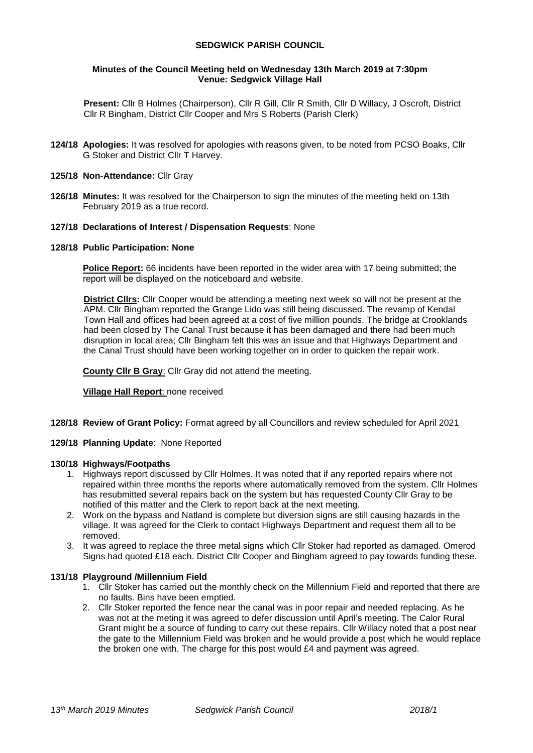## **SEDGWICK PARISH COUNCIL**

### **Minutes of the Council Meeting held on Wednesday 13th March 2019 at 7:30pm Venue: Sedgwick Village Hall**

**Present:** Cllr B Holmes (Chairperson), Cllr R Gill, Cllr R Smith, Cllr D Willacy, J Oscroft, District Cllr R Bingham, District Cllr Cooper and Mrs S Roberts (Parish Clerk)

- **124/18 Apologies:** It was resolved for apologies with reasons given, to be noted from PCSO Boaks, Cllr G Stoker and District Cllr T Harvey.
- **125/18 Non-Attendance:** Cllr Gray
- **126/18 Minutes:** It was resolved for the Chairperson to sign the minutes of the meeting held on 13th February 2019 as a true record.

#### **127/18 Declarations of Interest / Dispensation Requests**: None

#### **128/18 Public Participation: None**

**Police Report:** 66 incidents have been reported in the wider area with 17 being submitted; the report will be displayed on the noticeboard and website.

**District Cllrs:** Cllr Cooper would be attending a meeting next week so will not be present at the APM. Cllr Bingham reported the Grange Lido was still being discussed. The revamp of Kendal Town Hall and offices had been agreed at a cost of five million pounds. The bridge at Crooklands had been closed by The Canal Trust because it has been damaged and there had been much disruption in local area; Cllr Bingham felt this was an issue and that Highways Department and the Canal Trust should have been working together on in order to quicken the repair work.

**County Cllr B Gray**: Cllr Gray did not attend the meeting.

**Village Hall Report**: none received

- **128/18 Review of Grant Policy:** Format agreed by all Councillors and review scheduled for April 2021
- **129/18 Planning Update**: None Reported

#### **130/18 Highways/Footpaths**

- 1. Highways report discussed by Cllr Holmes. It was noted that if any reported repairs where not repaired within three months the reports where automatically removed from the system. Cllr Holmes has resubmitted several repairs back on the system but has requested County Cllr Gray to be notified of this matter and the Clerk to report back at the next meeting.
- 2. Work on the bypass and Natland is complete but diversion signs are still causing hazards in the village. It was agreed for the Clerk to contact Highways Department and request them all to be removed.
- 3. It was agreed to replace the three metal signs which Cllr Stoker had reported as damaged. Omerod Signs had quoted £18 each. District Cllr Cooper and Bingham agreed to pay towards funding these.

### **131/18 Playground /Millennium Field**

- 1. Cllr Stoker has carried out the monthly check on the Millennium Field and reported that there are no faults. Bins have been emptied.
- 2. Cllr Stoker reported the fence near the canal was in poor repair and needed replacing. As he was not at the meting it was agreed to defer discussion until April's meeting. The Calor Rural Grant might be a source of funding to carry out these repairs. Cllr Willacy noted that a post near the gate to the Millennium Field was broken and he would provide a post which he would replace the broken one with. The charge for this post would £4 and payment was agreed.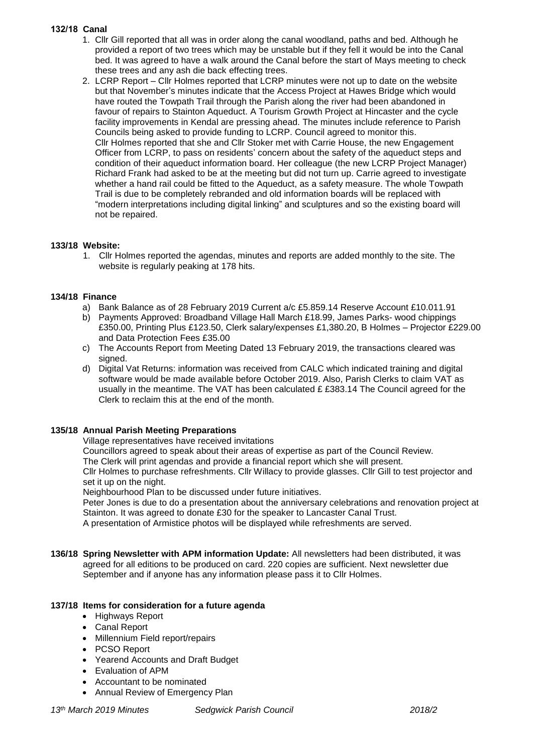## **132/18 Canal**

- 1. Cllr Gill reported that all was in order along the canal woodland, paths and bed. Although he provided a report of two trees which may be unstable but if they fell it would be into the Canal bed. It was agreed to have a walk around the Canal before the start of Mays meeting to check these trees and any ash die back effecting trees.
- 2. LCRP Report Cllr Holmes reported that LCRP minutes were not up to date on the website but that November's minutes indicate that the Access Project at Hawes Bridge which would have routed the Towpath Trail through the Parish along the river had been abandoned in favour of repairs to Stainton Aqueduct. A Tourism Growth Project at Hincaster and the cycle facility improvements in Kendal are pressing ahead. The minutes include reference to Parish Councils being asked to provide funding to LCRP. Council agreed to monitor this. Cllr Holmes reported that she and Cllr Stoker met with Carrie House, the new Engagement Officer from LCRP, to pass on residents' concern about the safety of the aqueduct steps and condition of their aqueduct information board. Her colleague (the new LCRP Project Manager) Richard Frank had asked to be at the meeting but did not turn up. Carrie agreed to investigate whether a hand rail could be fitted to the Aqueduct, as a safety measure. The whole Towpath Trail is due to be completely rebranded and old information boards will be replaced with "modern interpretations including digital linking" and sculptures and so the existing board will not be repaired.

# **133/18 Website:**

1. Cllr Holmes reported the agendas, minutes and reports are added monthly to the site. The website is regularly peaking at 178 hits.

## **134/18 Finance**

- a) Bank Balance as of 28 February 2019 Current a/c £5.859.14 Reserve Account £10.011.91
- b) Payments Approved: Broadband Village Hall March £18.99, James Parks- wood chippings £350.00, Printing Plus £123.50, Clerk salary/expenses £1,380.20, B Holmes – Projector £229.00 and Data Protection Fees £35.00
- c) The Accounts Report from Meeting Dated 13 February 2019, the transactions cleared was signed.
- d) Digital Vat Returns: information was received from CALC which indicated training and digital software would be made available before October 2019. Also, Parish Clerks to claim VAT as usually in the meantime. The VAT has been calculated  $£ £383.14$  The Council agreed for the Clerk to reclaim this at the end of the month.

# **135/18 Annual Parish Meeting Preparations**

Village representatives have received invitations

Councillors agreed to speak about their areas of expertise as part of the Council Review.

The Clerk will print agendas and provide a financial report which she will present.

Cllr Holmes to purchase refreshments. Cllr Willacy to provide glasses. Cllr Gill to test projector and set it up on the night.

Neighbourhood Plan to be discussed under future initiatives.

Peter Jones is due to do a presentation about the anniversary celebrations and renovation project at Stainton. It was agreed to donate £30 for the speaker to Lancaster Canal Trust.

A presentation of Armistice photos will be displayed while refreshments are served.

**136/18 Spring Newsletter with APM information Update:** All newsletters had been distributed, it was agreed for all editions to be produced on card. 220 copies are sufficient. Next newsletter due September and if anyone has any information please pass it to Cllr Holmes.

# **137/18 Items for consideration for a future agenda**

- Highways Report
- Canal Report
- Millennium Field report/repairs
- PCSO Report
- Yearend Accounts and Draft Budget
- Evaluation of APM
- Accountant to be nominated
- Annual Review of Emergency Plan